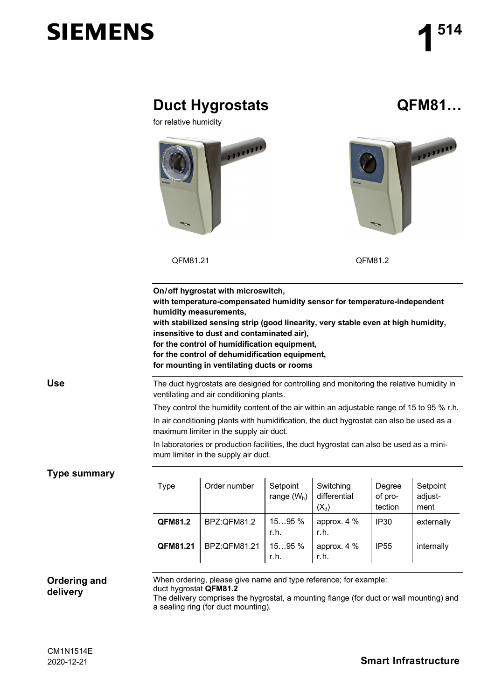# **SIEMENS**

|                                 | <b>Duct Hygrostats</b><br>for relative humidity                                                                                        |                                                                                                                                                                                                                                                                                                                                                                                                   |                           |                                      |                              | QFM81                       |  |
|---------------------------------|----------------------------------------------------------------------------------------------------------------------------------------|---------------------------------------------------------------------------------------------------------------------------------------------------------------------------------------------------------------------------------------------------------------------------------------------------------------------------------------------------------------------------------------------------|---------------------------|--------------------------------------|------------------------------|-----------------------------|--|
|                                 | 3333338<br>↽<br>QFM81.21                                                                                                               |                                                                                                                                                                                                                                                                                                                                                                                                   |                           | <br>QFM81.2                          |                              |                             |  |
|                                 |                                                                                                                                        |                                                                                                                                                                                                                                                                                                                                                                                                   |                           |                                      |                              |                             |  |
|                                 | humidity measurements,                                                                                                                 | On/off hygrostat with microswitch,<br>with temperature-compensated humidity sensor for temperature-independent<br>with stabilized sensing strip (good linearity, very stable even at high humidity,<br>insensitive to dust and contaminated air),<br>for the control of humidification equipment,<br>for the control of dehumidification equipment,<br>for mounting in ventilating ducts or rooms |                           |                                      |                              |                             |  |
| <b>Use</b>                      | The duct hygrostats are designed for controlling and monitoring the relative humidity in                                               |                                                                                                                                                                                                                                                                                                                                                                                                   |                           |                                      |                              |                             |  |
|                                 | ventilating and air conditioning plants.<br>They control the humidity content of the air within an adjustable range of 15 to 95 % r.h. |                                                                                                                                                                                                                                                                                                                                                                                                   |                           |                                      |                              |                             |  |
|                                 | In air conditioning plants with humidification, the duct hygrostat can also be used as a<br>maximum limiter in the supply air duct.    |                                                                                                                                                                                                                                                                                                                                                                                                   |                           |                                      |                              |                             |  |
|                                 | In laboratories or production facilities, the duct hygrostat can also be used as a mini-<br>mum limiter in the supply air duct.        |                                                                                                                                                                                                                                                                                                                                                                                                   |                           |                                      |                              |                             |  |
| <b>Type summary</b>             |                                                                                                                                        |                                                                                                                                                                                                                                                                                                                                                                                                   |                           |                                      |                              |                             |  |
|                                 | <b>Type</b>                                                                                                                            | Order number                                                                                                                                                                                                                                                                                                                                                                                      | Setpoint<br>range $(W_h)$ | Switching<br>differential<br>$(X_d)$ | Degree<br>of pro-<br>tection | Setpoint<br>adjust-<br>ment |  |
|                                 | QFM81.2                                                                                                                                | BPZ:QFM81.2                                                                                                                                                                                                                                                                                                                                                                                       | 1595 %<br>r.h.            | approx. 4 %<br>r.h.                  | <b>IP30</b>                  | externally                  |  |
|                                 | QFM81.21                                                                                                                               | BPZ:QFM81.21                                                                                                                                                                                                                                                                                                                                                                                      | 1595 %<br>r.h.            | approx. 4 %<br>r.h.                  | <b>IP55</b>                  | internally                  |  |
| <b>Ordering and</b><br>delivery | duct hygrostat QFM81.2                                                                                                                 | When ordering, please give name and type reference; for example:<br>The delivery comprises the hygrostat, a mounting flange (for duct or wall mounting) and<br>a sealing ring (for duct mounting).                                                                                                                                                                                                |                           |                                      |                              |                             |  |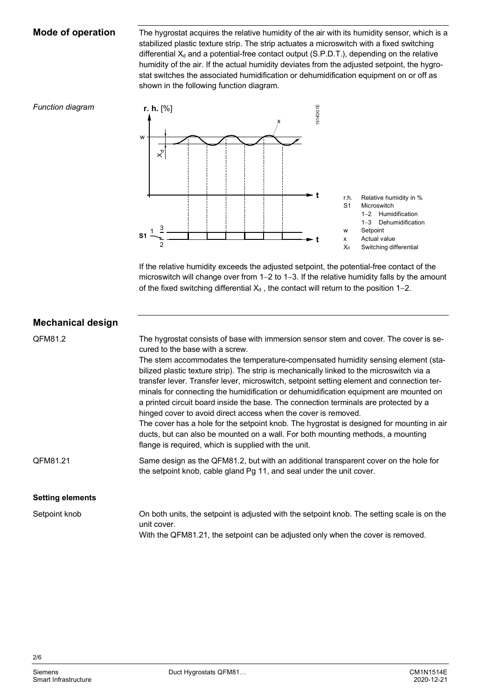### **Mode of operation**

The hygrostat acquires the relative humidity of the air with its humidity sensor, which is a stabilized plastic texture strip. The strip actuates a microswitch with a fixed switching differential  $X_d$  and a potential-free contact output (S.P.D.T.), depending on the relative humidity of the air. If the actual humidity deviates from the adjusted setpoint, the hygrostat switches the associated humidification or dehumidification equipment on or off as shown in the following function diagram.

#### *Function diagram*



If the relative humidity exceeds the adjusted setpoint, the potential-free contact of the microswitch will change over from 1-2 to 1-3. If the relative humidity falls by the amount of the fixed switching differential  $X_d$ , the contact will return to the position 1-2.

| <b>Mechanical design</b> |                                                                                                                                                                                                                                                                                                                                                                                                                                                                                                                                                                                                                                                                                                                                                                                                                                                                                                   |
|--------------------------|---------------------------------------------------------------------------------------------------------------------------------------------------------------------------------------------------------------------------------------------------------------------------------------------------------------------------------------------------------------------------------------------------------------------------------------------------------------------------------------------------------------------------------------------------------------------------------------------------------------------------------------------------------------------------------------------------------------------------------------------------------------------------------------------------------------------------------------------------------------------------------------------------|
| QFM81.2                  | The hygrostat consists of base with immersion sensor stem and cover. The cover is se-<br>cured to the base with a screw.<br>The stem accommodates the temperature-compensated humidity sensing element (sta-<br>bilized plastic texture strip). The strip is mechanically linked to the microswitch via a<br>transfer lever. Transfer lever, microswitch, setpoint setting element and connection ter-<br>minals for connecting the humidification or dehumidification equipment are mounted on<br>a printed circuit board inside the base. The connection terminals are protected by a<br>hinged cover to avoid direct access when the cover is removed.<br>The cover has a hole for the setpoint knob. The hygrostat is designed for mounting in air<br>ducts, but can also be mounted on a wall. For both mounting methods, a mounting<br>flange is required, which is supplied with the unit. |
| QFM81.21                 | Same design as the QFM81.2, but with an additional transparent cover on the hole for<br>the setpoint knob, cable gland Pg 11, and seal under the unit cover.                                                                                                                                                                                                                                                                                                                                                                                                                                                                                                                                                                                                                                                                                                                                      |
| <b>Setting elements</b>  |                                                                                                                                                                                                                                                                                                                                                                                                                                                                                                                                                                                                                                                                                                                                                                                                                                                                                                   |
| Setpoint knob            | On both units, the setpoint is adjusted with the setpoint knob. The setting scale is on the<br>unit cover.<br>With the QFM81.21, the setpoint can be adjusted only when the cover is removed.                                                                                                                                                                                                                                                                                                                                                                                                                                                                                                                                                                                                                                                                                                     |

2/6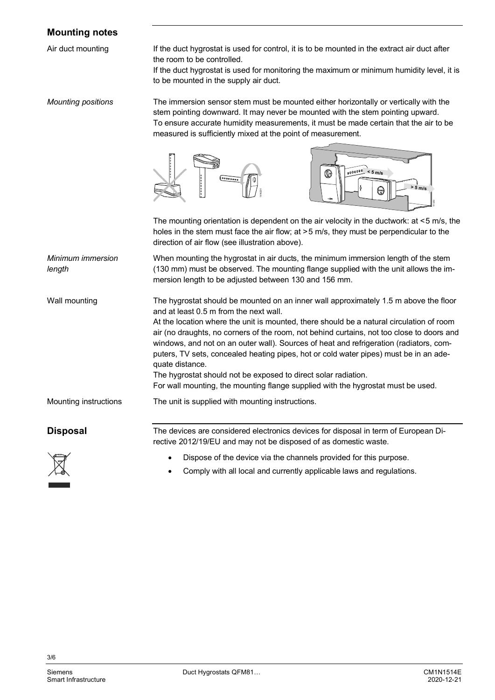### **Mounting notes**

Air duct mounting

If the duct hygrostat is used for control, it is to be mounted in the extract air duct after the room to be controlled.

If the duct hygrostat is used for monitoring the maximum or minimum humidity level, it is to be mounted in the supply air duct.

The immersion sensor stem must be mounted either horizontally or vertically with the stem pointing downward. It may never be mounted with the stem pointing upward. To ensure accurate humidity measurements, it must be made certain that the air to be measured is sufficiently mixed at the point of measurement. *Mounting positions*





The mounting orientation is dependent on the air velocity in the ductwork: at <5 m/s, the holes in the stem must face the air flow; at >5 m/s, they must be perpendicular to the direction of air flow (see illustration above).

When mounting the hygrostat in air ducts, the minimum immersion length of the stem (130 mm) must be observed. The mounting flange supplied with the unit allows the immersion length to be adjusted between 130 and 156 mm. *Minimum immersion length*

The hygrostat should be mounted on an inner wall approximately 1.5 m above the floor and at least 0.5 m from the next wall. At the location where the unit is mounted, there should be a natural circulation of room air (no draughts, no corners of the room, not behind curtains, not too close to doors and windows, and not on an outer wall). Sources of heat and refrigeration (radiators, computers, TV sets, concealed heating pipes, hot or cold water pipes) must be in an adequate distance. Wall mounting

> The hygrostat should not be exposed to direct solar radiation. For wall mounting, the mounting flange supplied with the hygrostat must be used.

The unit is supplied with mounting instructions. Mounting instructions

**Disposal**

The devices are considered electronics devices for disposal in term of European Directive 2012/19/EU and may not be disposed of as domestic waste.



- Dispose of the device via the channels provided for this purpose.
- Comply with all local and currently applicable laws and regulations.

3/6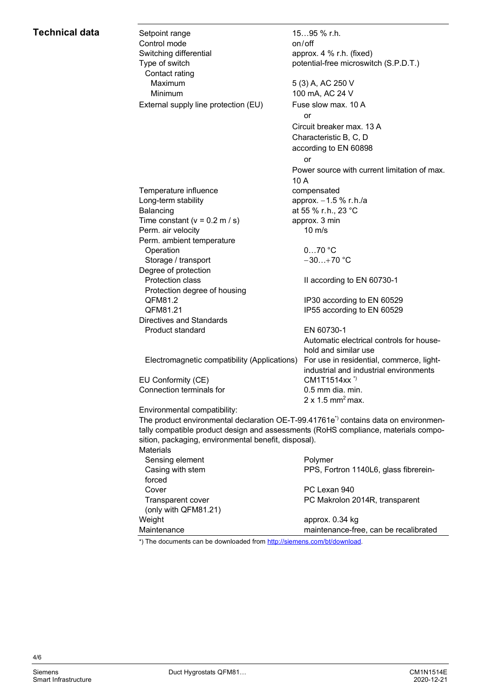## **Technical data**

| Setpoint range<br>Control mode                                                                   | 1595 % r.h.<br>on/off                                                              |  |  |  |  |
|--------------------------------------------------------------------------------------------------|------------------------------------------------------------------------------------|--|--|--|--|
| Switching differential                                                                           | approx. 4 % r.h. (fixed)                                                           |  |  |  |  |
| Type of switch                                                                                   | potential-free microswitch (S.P.D.T.)                                              |  |  |  |  |
| Contact rating                                                                                   |                                                                                    |  |  |  |  |
| Maximum                                                                                          | 5 (3) A, AC 250 V                                                                  |  |  |  |  |
| Minimum                                                                                          | 100 mA, AC 24 V                                                                    |  |  |  |  |
|                                                                                                  |                                                                                    |  |  |  |  |
| External supply line protection (EU)                                                             | Fuse slow max. 10 A                                                                |  |  |  |  |
|                                                                                                  | or                                                                                 |  |  |  |  |
|                                                                                                  | Circuit breaker max, 13 A                                                          |  |  |  |  |
|                                                                                                  | Characteristic B, C, D                                                             |  |  |  |  |
|                                                                                                  | according to EN 60898                                                              |  |  |  |  |
|                                                                                                  | or                                                                                 |  |  |  |  |
|                                                                                                  | Power source with current limitation of max.                                       |  |  |  |  |
|                                                                                                  | 10 A                                                                               |  |  |  |  |
| Temperature influence                                                                            | compensated                                                                        |  |  |  |  |
| Long-term stability                                                                              | approx. -1.5 % r.h./a                                                              |  |  |  |  |
| Balancing                                                                                        | at 55 % r.h., 23 °C                                                                |  |  |  |  |
| Time constant ( $v = 0.2$ m / s)                                                                 | approx. 3 min                                                                      |  |  |  |  |
| Perm. air velocity                                                                               | $10 \text{ m/s}$                                                                   |  |  |  |  |
| Perm. ambient temperature                                                                        |                                                                                    |  |  |  |  |
| Operation                                                                                        | $070$ °C                                                                           |  |  |  |  |
| Storage / transport                                                                              | $-30+70$ °C                                                                        |  |  |  |  |
| Degree of protection                                                                             |                                                                                    |  |  |  |  |
| Protection class                                                                                 | II according to EN 60730-1                                                         |  |  |  |  |
| Protection degree of housing                                                                     |                                                                                    |  |  |  |  |
| QFM81.2                                                                                          | IP30 according to EN 60529                                                         |  |  |  |  |
| QFM81.21                                                                                         | IP55 according to EN 60529                                                         |  |  |  |  |
| <b>Directives and Standards</b>                                                                  |                                                                                    |  |  |  |  |
| Product standard                                                                                 | EN 60730-1                                                                         |  |  |  |  |
|                                                                                                  | Automatic electrical controls for house-                                           |  |  |  |  |
|                                                                                                  | hold and similar use                                                               |  |  |  |  |
| Electromagnetic compatibility (Applications)                                                     | For use in residential, commerce, light-                                           |  |  |  |  |
|                                                                                                  | industrial and industrial environments                                             |  |  |  |  |
| EU Conformity (CE)                                                                               | CM1T1514xx <sup>*)</sup>                                                           |  |  |  |  |
| Connection terminals for                                                                         | 0.5 mm dia. min.                                                                   |  |  |  |  |
|                                                                                                  | $2 \times 1.5$ mm <sup>2</sup> max.                                                |  |  |  |  |
| Environmental compatibility:                                                                     |                                                                                    |  |  |  |  |
| The product environmental declaration OE-T-99.41761e <sup>*</sup> ) contains data on environmen- |                                                                                    |  |  |  |  |
|                                                                                                  | tally compatible product design and assessments (RoHS compliance, materials compo- |  |  |  |  |

| <b>Materials</b>     |                                       |
|----------------------|---------------------------------------|
| Sensing element      | Polymer                               |
| Casing with stem     | PPS, Fortron 1140L6, glass fibrerein- |
| forced               |                                       |
| Cover                | PC Lexan 940                          |
| Transparent cover    | PC Makrolon 2014R, transparent        |
| (only with QFM81.21) |                                       |
| Weight               | approx. 0.34 kg                       |
| Maintenance          | maintenance-free, can be recalibrated |

\*) The documents can be downloaded from <http://siemens.com/bt/download>.

sition, packaging, environmental benefit, disposal).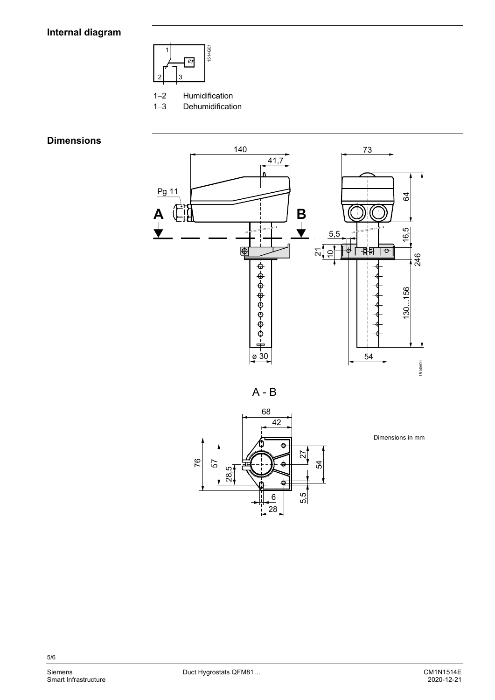## Internal diagram



Humidification  $1 - 2$ 

 $1 - 3$ Dehumidification

## **Dimensions**



 $A - B$ 



Dimensions in mm

 $5/6$